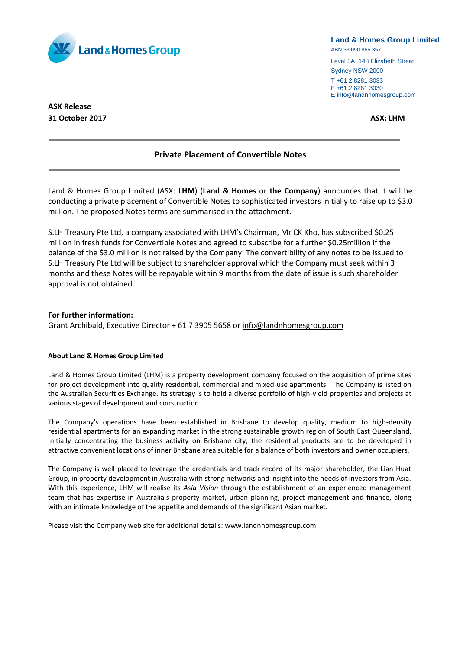

#### **Land & Homes Group Limited**

ABN 33 090 865 357

Level 3A, 148 Elizabeth Street Sydney NSW 2000 T +61 2 8281 3033

F +61 2 8281 3030 E info@landnhomesgroup.com

**ASX Release 31 October 2017 ASX: LHM**

# **Private Placement of Convertible Notes**

Land & Homes Group Limited (ASX: **LHM**) (**Land & Homes** or **the Company**) announces that it will be conducting a private placement of Convertible Notes to sophisticated investors initially to raise up to \$3.0 million. The proposed Notes terms are summarised in the attachment.

S.LH Treasury Pte Ltd, a company associated with LHM's Chairman, Mr CK Kho, has subscribed \$0.25 million in fresh funds for Convertible Notes and agreed to subscribe for a further \$0.25million if the balance of the \$3.0 million is not raised by the Company. The convertibility of any notes to be issued to S.LH Treasury Pte Ltd will be subject to shareholder approval which the Company must seek within 3 months and these Notes will be repayable within 9 months from the date of issue is such shareholder approval is not obtained.

#### **For further information:**

Grant Archibald, Executive Director + 61 7 3905 5658 or [info@landnhomesgroup.com](mailto:info@landnhomesgroup.com)

## **About Land & Homes Group Limited**

Land & Homes Group Limited (LHM) is a property development company focused on the acquisition of prime sites for project development into quality residential, commercial and mixed-use apartments. The Company is listed on the Australian Securities Exchange. Its strategy is to hold a diverse portfolio of high-yield properties and projects at various stages of development and construction.

The Company's operations have been established in Brisbane to develop quality, medium to high-density residential apartments for an expanding market in the strong sustainable growth region of South East Queensland. Initially concentrating the business activity on Brisbane city, the residential products are to be developed in attractive convenient locations of inner Brisbane area suitable for a balance of both investors and owner occupiers.

The Company is well placed to leverage the credentials and track record of its major shareholder, the Lian Huat Group, in property development in Australia with strong networks and insight into the needs of investors from Asia. With this experience, LHM will realise its *Asia Vision* through the establishment of an experienced management team that has expertise in Australia's property market, urban planning, project management and finance, along with an intimate knowledge of the appetite and demands of the significant Asian market.

Please visit the Company web site for additional details: [www.landnhomesgroup.com](http://www.landnhomesgroup.com/irm/content/default.aspx)